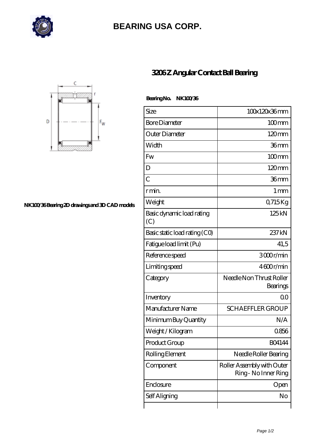

## **[BEARING USA CORP.](https://hathaykhongbanghayhat.org)**



## **[NK100/36 Bearing 2D drawings and 3D CAD models](https://hathaykhongbanghayhat.org/pic-672094.html)**

## **[3206 Z Angular Contact Ball Bearing](https://hathaykhongbanghayhat.org/af-672094-3206-z-angular-contact-ball-bearing.html)**

 **Bearing No. NK100/36**

| Size                             | 100x120x36mm                                       |
|----------------------------------|----------------------------------------------------|
| <b>Bore Diameter</b>             | $100$ mm                                           |
| Outer Diameter                   | $120 \text{mm}$                                    |
| Width                            | 36mm                                               |
| Fw                               | $100$ mm                                           |
| D                                | 120mm                                              |
| $\overline{C}$                   | 36mm                                               |
| r min.                           | $1 \,\mathrm{mm}$                                  |
| Weight                           | 0,715Kg                                            |
| Basic dynamic load rating<br>(C) | 125kN                                              |
| Basic static load rating (CO)    | 237 kN                                             |
| Fatigue load limit (Pu)          | 41,5                                               |
| Reference speed                  | 3000r/min                                          |
| Limiting speed                   | 4600r/min                                          |
| Category                         | Needle Non Thrust Roller<br>Bearings               |
| Inventory                        | 00                                                 |
| Manufacturer Name                | <b>SCHAEFFLER GROUP</b>                            |
| Minimum Buy Quantity             | N/A                                                |
| Weight / Kilogram                | 0856                                               |
| Product Group                    | BO4144                                             |
| Rolling Element                  | Needle Roller Bearing                              |
| Component                        | Roller Assembly with Outer<br>Ring - No Inner Ring |
| Enclosure                        | Open                                               |
| Self Aligning                    | No                                                 |
|                                  |                                                    |